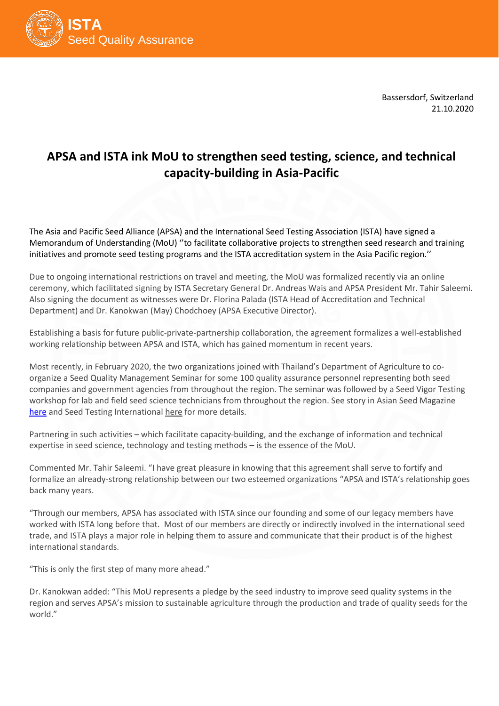

Bassersdorf, Switzerland 21.10.2020

## **APSA and ISTA ink MoU to strengthen seed testing, science, and technical capacity-building in Asia-Pacific**

The Asia and Pacific Seed Alliance (APSA) and the International Seed Testing Association (ISTA) have signed a Memorandum of Understanding (MoU) ''to facilitate collaborative projects to strengthen seed research and training initiatives and promote seed testing programs and the ISTA accreditation system in the Asia Pacific region.''

Due to ongoing international restrictions on travel and meeting, the MoU was formalized recently via an online ceremony, which facilitated signing by ISTA Secretary General Dr. Andreas Wais and APSA President Mr. Tahir Saleemi. Also signing the document as witnesses were Dr. Florina Palada (ISTA Head of Accreditation and Technical Department) and Dr. Kanokwan (May) Chodchoey (APSA Executive Director).

Establishing a basis for future public-private-partnership collaboration, the agreement formalizes a well-established working relationship between APSA and ISTA, which has gained momentum in recent years.

Most recently, in February 2020, the two organizations joined with Thailand's Department of Agriculture to coorganize a Seed Quality Management Seminar for some 100 quality assurance personnel representing both seed companies and government agencies from throughout the region. The seminar was followed by a Seed Vigor Testing workshop for lab and field seed science technicians from throughout the region. See story in Asian Seed Magazine [here](https://apsaseed.org/AsianSeed2020/Asian_Seed_Mag_Q1_2020_Jan_Mar.pdf#page=10) and Seed Testing International [here](https://issues.ink/ista/160-october-2020/?page=64) for more details.

Partnering in such activities – which facilitate capacity-building, and the exchange of information and technical expertise in seed science, technology and testing methods – is the essence of the MoU.

Commented Mr. Tahir Saleemi. "I have great pleasure in knowing that this agreement shall serve to fortify and formalize an already-strong relationship between our two esteemed organizations "APSA and ISTA's relationship goes back many years.

"Through our members, APSA has associated with ISTA since our founding and some of our legacy members have worked with ISTA long before that. Most of our members are directly or indirectly involved in the international seed trade, and ISTA plays a major role in helping them to assure and communicate that their product is of the highest international standards.

"This is only the first step of many more ahead."

Dr. Kanokwan added: "This MoU represents a pledge by the seed industry to improve seed quality systems in the region and serves APSA's mission to sustainable agriculture through the production and trade of quality seeds for the world."